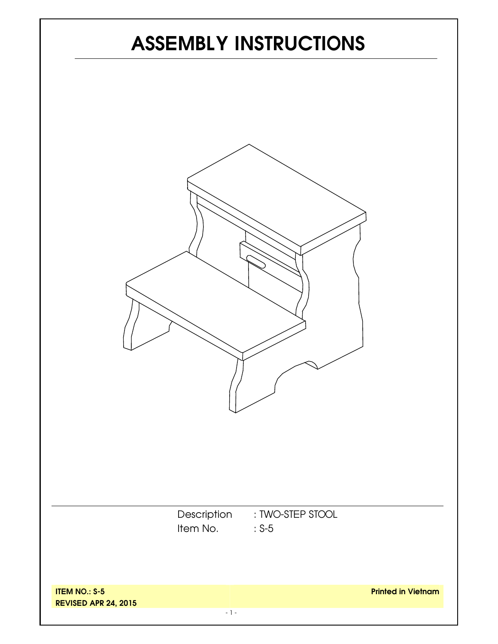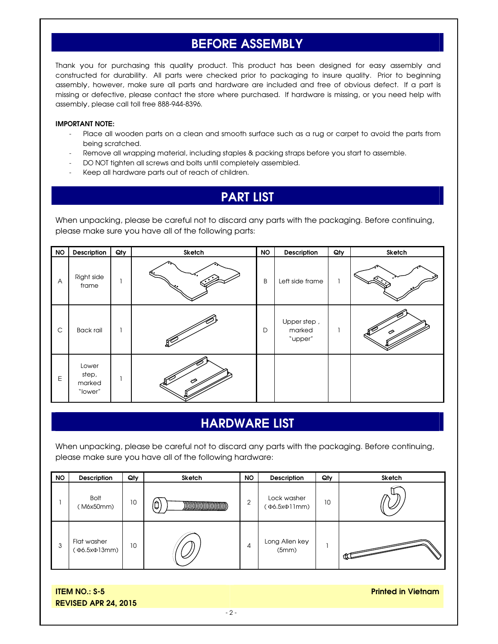## **BEFORE ASSEMBLY**

Thank you for purchasing this quality product. This product has been designed for easy assembly and constructed for durability. All parts were checked prior to packaging to insure quality. Prior to beginning assembly, however, make sure all parts and hardware are included and free of obvious defect. If a part is missing or defective, please contact the store where purchased. If hardware is missing, or you need help with assembly, please call toll free 888-944-8396.

#### **IMPORTANT NOTE:**

- Place all wooden parts on a clean and smooth surface such as a rug or carpet to avoid the parts from being scratched.
- Remove all wrapping material, including staples & packing straps before you start to assemble.
- DO NOT tighten all screws and bolts until completely assembled.
- Keep all hardware parts out of reach of children.

## **PART LIST**

When unpacking, please be careful not to discard any parts with the packaging. Before continuing, please make sure you have all of the following parts:

| <b>NO</b>      | Description                         | Qty | Sketch | <b>NO</b> | Description                      | Qty | Sketch |
|----------------|-------------------------------------|-----|--------|-----------|----------------------------------|-----|--------|
| $\overline{A}$ | Right side<br>frame                 |     |        | B         | Left side frame                  |     |        |
| C              | <b>Back rail</b>                    |     |        | D         | Upper step,<br>marked<br>"upper" |     |        |
| Е              | Lower<br>step,<br>marked<br>"lower" |     |        |           |                                  |     |        |

### **HARDWARE LIST**

When unpacking, please be careful not to discard any parts with the packaging. Before continuing, please make sure you have all of the following hardware:

| <b>NO</b> | <b>Description</b>          | Qty | Sketch | <b>NO</b>      | <b>Description</b>         | Qty | Sketch                  |
|-----------|-----------------------------|-----|--------|----------------|----------------------------|-----|-------------------------|
|           | <b>Bolt</b><br>(M6x50mm)    | 10  | 0      | $\overline{2}$ | Lock washer<br>(Φ6.5xΦ1nm) | 10  |                         |
| 3         | Flat washer<br>(Ф6.5хФ13mm) | 10  |        | 4              | Long Allen key<br>(5mm)    |     | $\overline{\text{max}}$ |

**ITEM NO.: S-5 REVISED APR 24, 2015**  **Printed in Vietnam**